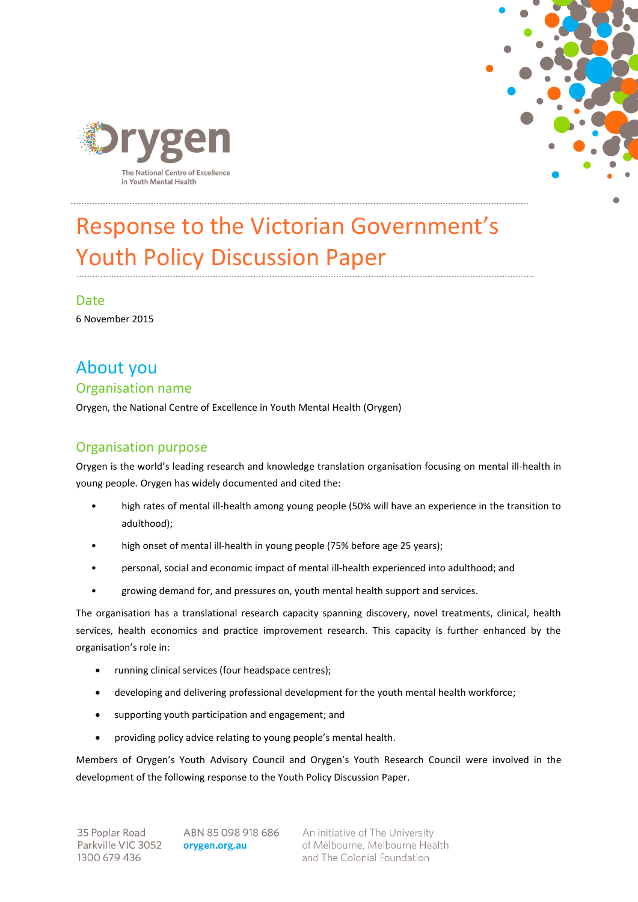



# Response to the Victorian Government's Youth Policy Discussion Paper

Date 6 November 2015

# About you Organisation name

Orygen, the National Centre of Excellence in Youth Mental Health (Orygen)

## Organisation purpose

Orygen is the world's leading research and knowledge translation organisation focusing on mental ill-health in young people. Orygen has widely documented and cited the:

- high rates of mental ill-health among young people (50% will have an experience in the transition to adulthood);
- high onset of mental ill-health in young people (75% before age 25 years);
- personal, social and economic impact of mental ill-health experienced into adulthood; and
- growing demand for, and pressures on, youth mental health support and services.

The organisation has a translational research capacity spanning discovery, novel treatments, clinical, health services, health economics and practice improvement research. This capacity is further enhanced by the organisation's role in:

- running clinical services (four headspace centres);
- developing and delivering professional development for the youth mental health workforce;
- supporting youth participation and engagement; and
- providing policy advice relating to young people's mental health.

Members of Orygen's Youth Advisory Council and Orygen's Youth Research Council were involved in the development of the following response to the Youth Policy Discussion Paper.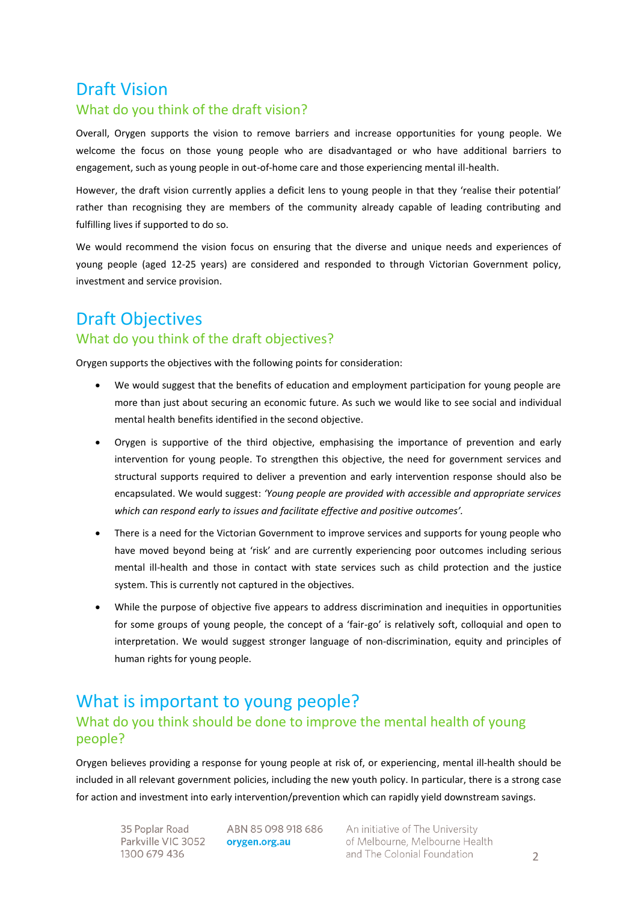## Draft Vision

#### What do you think of the draft vision?

Overall, Orygen supports the vision to remove barriers and increase opportunities for young people. We welcome the focus on those young people who are disadvantaged or who have additional barriers to engagement, such as young people in out-of-home care and those experiencing mental ill-health.

However, the draft vision currently applies a deficit lens to young people in that they 'realise their potential' rather than recognising they are members of the community already capable of leading contributing and fulfilling lives if supported to do so.

We would recommend the vision focus on ensuring that the diverse and unique needs and experiences of young people (aged 12-25 years) are considered and responded to through Victorian Government policy, investment and service provision.

## Draft Objectives What do you think of the draft objectives?

Orygen supports the objectives with the following points for consideration:

- We would suggest that the benefits of education and employment participation for young people are more than just about securing an economic future. As such we would like to see social and individual mental health benefits identified in the second objective.
- Orygen is supportive of the third objective, emphasising the importance of prevention and early intervention for young people. To strengthen this objective, the need for government services and structural supports required to deliver a prevention and early intervention response should also be encapsulated. We would suggest: *'Young people are provided with accessible and appropriate services which can respond early to issues and facilitate effective and positive outcomes'.*
- There is a need for the Victorian Government to improve services and supports for young people who have moved beyond being at 'risk' and are currently experiencing poor outcomes including serious mental ill-health and those in contact with state services such as child protection and the justice system. This is currently not captured in the objectives.
- While the purpose of objective five appears to address discrimination and inequities in opportunities for some groups of young people, the concept of a 'fair-go' is relatively soft, colloquial and open to interpretation. We would suggest stronger language of non-discrimination, equity and principles of human rights for young people.

## What is important to young people? What do you think should be done to improve the mental health of young people?

Orygen believes providing a response for young people at risk of, or experiencing, mental ill-health should be included in all relevant government policies, including the new youth policy. In particular, there is a strong case for action and investment into early intervention/prevention which can rapidly yield downstream savings.

35 Poplar Road Parkville VIC 3052 1300 679 436

ABN 85 098 918 686 orygen.org.au

An initiative of The University of Melbourne, Melbourne Health and The Colonial Foundation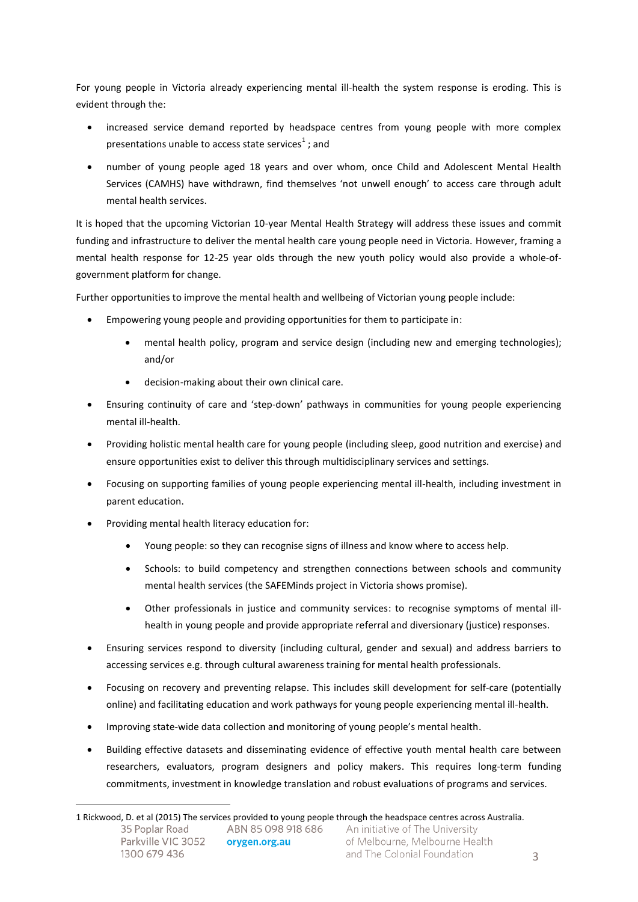For young people in Victoria already experiencing mental ill-health the system response is eroding. This is evident through the:

- increased service demand reported by headspace centres from young people with more complex presentations unable to access state services<sup>1</sup>; and
- number of young people aged 18 years and over whom, once Child and Adolescent Mental Health Services (CAMHS) have withdrawn, find themselves 'not unwell enough' to access care through adult mental health services.

It is hoped that the upcoming Victorian 10-year Mental Health Strategy will address these issues and commit funding and infrastructure to deliver the mental health care young people need in Victoria. However, framing a mental health response for 12-25 year olds through the new youth policy would also provide a whole-ofgovernment platform for change.

Further opportunities to improve the mental health and wellbeing of Victorian young people include:

- Empowering young people and providing opportunities for them to participate in:
	- mental health policy, program and service design (including new and emerging technologies); and/or
	- decision-making about their own clinical care.
- Ensuring continuity of care and 'step-down' pathways in communities for young people experiencing mental ill-health.
- Providing holistic mental health care for young people (including sleep, good nutrition and exercise) and ensure opportunities exist to deliver this through multidisciplinary services and settings.
- Focusing on supporting families of young people experiencing mental ill-health, including investment in parent education.
- Providing mental health literacy education for:

 $\overline{a}$ 

- Young people: so they can recognise signs of illness and know where to access help.
- Schools: to build competency and strengthen connections between schools and community mental health services (the SAFEMinds project in Victoria shows promise).
- Other professionals in justice and community services: to recognise symptoms of mental illhealth in young people and provide appropriate referral and diversionary (justice) responses.
- Ensuring services respond to diversity (including cultural, gender and sexual) and address barriers to accessing services e.g. through cultural awareness training for mental health professionals.
- Focusing on recovery and preventing relapse. This includes skill development for self-care (potentially online) and facilitating education and work pathways for young people experiencing mental ill-health.
- Improving state-wide data collection and monitoring of young people's mental health.
- Building effective datasets and disseminating evidence of effective youth mental health care between researchers, evaluators, program designers and policy makers. This requires long-term funding commitments, investment in knowledge translation and robust evaluations of programs and services.

<sup>1</sup> Rickwood, D. et al (2015) The services provided to young people through the headspace centres across Australia.35 Poplar Road ABN 85 098 918 686 An initiative of The University Parkville VIC 3052 of Melbourne, Melbourne Health orygen.org.au 1300 679 436 and The Colonial Foundation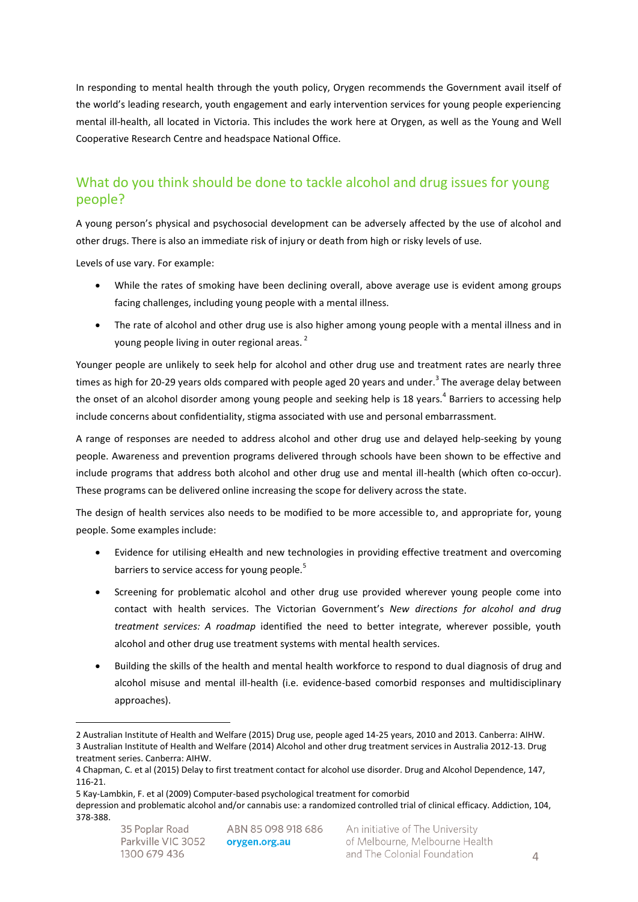In responding to mental health through the youth policy, Orygen recommends the Government avail itself of the world's leading research, youth engagement and early intervention services for young people experiencing mental ill-health, all located in Victoria. This includes the work here at Orygen, as well as the Young and Well Cooperative Research Centre and headspace National Office.

## What do you think should be done to tackle alcohol and drug issues for young people?

A young person's physical and psychosocial development can be adversely affected by the use of alcohol and other drugs. There is also an immediate risk of injury or death from high or risky levels of use.

Levels of use vary. For example:

- While the rates of smoking have been declining overall, above average use is evident among groups facing challenges, including young people with a mental illness.
- The rate of alcohol and other drug use is also higher among young people with a mental illness and in young people living in outer regional areas.  $^{2}$

Younger people are unlikely to seek help for alcohol and other drug use and treatment rates are nearly three times as high for 20-29 years olds compared with people aged 20 years and under.<sup>3</sup> The average delay between the onset of an alcohol disorder among young people and seeking help is 18 years.<sup>4</sup> Barriers to accessing help include concerns about confidentiality, stigma associated with use and personal embarrassment.

A range of responses are needed to address alcohol and other drug use and delayed help-seeking by young people. Awareness and prevention programs delivered through schools have been shown to be effective and include programs that address both alcohol and other drug use and mental ill-health (which often co-occur). These programs can be delivered online increasing the scope for delivery across the state.

The design of health services also needs to be modified to be more accessible to, and appropriate for, young people. Some examples include:

- Evidence for utilising eHealth and new technologies in providing effective treatment and overcoming barriers to service access for young people.<sup>5</sup>
- Screening for problematic alcohol and other drug use provided wherever young people come into contact with health services. The Victorian Government's *New directions for alcohol and drug treatment services: A roadmap* identified the need to better integrate, wherever possible, youth alcohol and other drug use treatment systems with mental health services.
- Building the skills of the health and mental health workforce to respond to dual diagnosis of drug and alcohol misuse and mental ill-health (i.e. evidence-based comorbid responses and multidisciplinary approaches).

 $\overline{a}$ 

<sup>2</sup> Australian Institute of Health and Welfare (2015) Drug use, people aged 14-25 years, 2010 and 2013. Canberra: AIHW. 3 Australian Institute of Health and Welfare (2014) Alcohol and other drug treatment services in Australia 2012-13. Drug treatment series. Canberra: AIHW.

<sup>4</sup> Chapman, C. et al (2015) Delay to first treatment contact for alcohol use disorder. Drug and Alcohol Dependence, 147, 116-21.

<sup>5</sup> Kay-Lambkin, F. et al (2009) Computer-based psychological treatment for comorbid

depression and problematic alcohol and/or cannabis use: a randomized controlled trial of clinical efficacy. Addiction, 104, 378-388.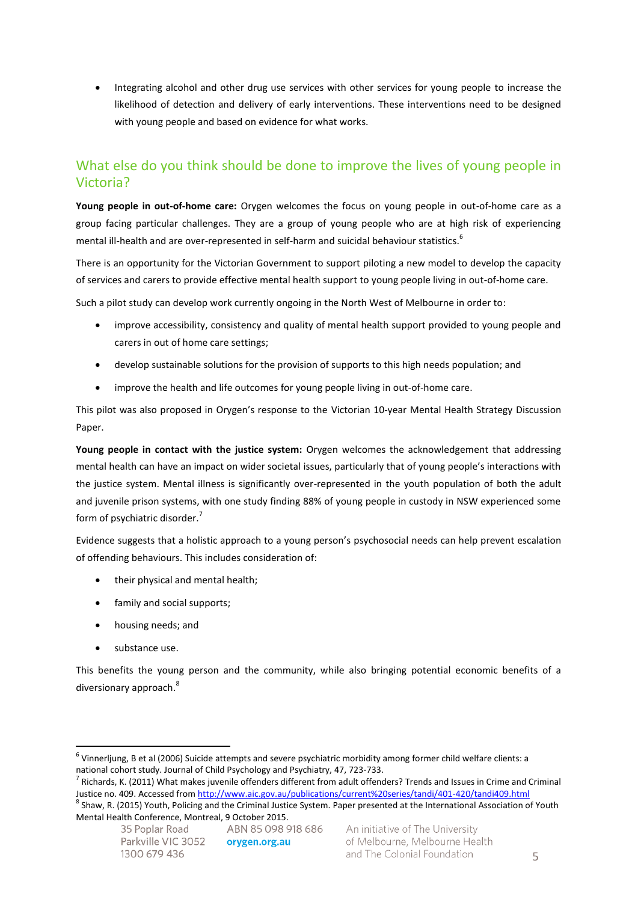• Integrating alcohol and other drug use services with other services for young people to increase the likelihood of detection and delivery of early interventions. These interventions need to be designed with young people and based on evidence for what works.

### What else do you think should be done to improve the lives of young people in Victoria?

**Young people in out-of-home care:** Orygen welcomes the focus on young people in out-of-home care as a group facing particular challenges. They are a group of young people who are at high risk of experiencing mental ill-health and are over-represented in self-harm and suicidal behaviour statistics. $^6$ 

There is an opportunity for the Victorian Government to support piloting a new model to develop the capacity of services and carers to provide effective mental health support to young people living in out-of-home care.

Such a pilot study can develop work currently ongoing in the North West of Melbourne in order to:

- improve accessibility, consistency and quality of mental health support provided to young people and carers in out of home care settings;
- develop sustainable solutions for the provision of supports to this high needs population; and
- improve the health and life outcomes for young people living in out-of-home care.

This pilot was also proposed in Orygen's response to the Victorian 10-year Mental Health Strategy Discussion Paper.

**Young people in contact with the justice system:** Orygen welcomes the acknowledgement that addressing mental health can have an impact on wider societal issues, particularly that of young people's interactions with the justice system. Mental illness is significantly over-represented in the youth population of both the adult and juvenile prison systems, with one study finding 88% of young people in custody in NSW experienced some form of psychiatric disorder.<sup>7</sup>

Evidence suggests that a holistic approach to a young person's psychosocial needs can help prevent escalation of offending behaviours. This includes consideration of:

- their physical and mental health;
- family and social supports;
- housing needs; and
- substance use.

 $\overline{a}$ 

This benefits the young person and the community, while also bringing potential economic benefits of a diversionary approach.<sup>8</sup>

<sup>&</sup>lt;sup>6</sup> Vinnerljung, B et al (2006) Suicide attempts and severe psychiatric morbidity among former child welfare clients: a national cohort study. Journal of Child Psychology and Psychiatry, 47, 723-733.

<sup>7</sup> Richards, K. (2011) What makes juvenile offenders different from adult offenders? Trends and Issues in Crime and Criminal Justice no. 409. Accessed fro[m http://www.aic.gov.au/publications/current%20series/tandi/401-420/tandi409.html](http://www.aic.gov.au/publications/current%20series/tandi/401-420/tandi409.html)

<sup>&</sup>lt;sup>8</sup> Shaw, R. (2015) Youth, Policing and the Criminal Justice System. Paper presented at the International Association of Youth Mental Health Conference, Montreal, 9 October 2015.